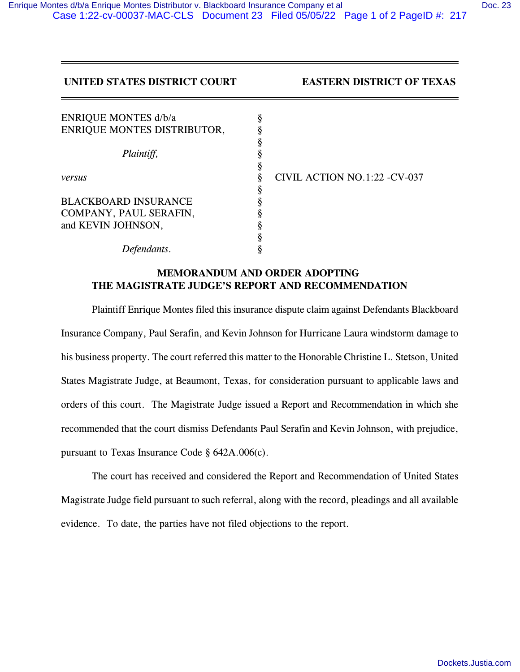## **UNITED STATES DISTRICT COURT EASTERN DISTRICT OF TEXAS**

| <b>ENRIQUE MONTES d/b/a</b> | \$ |                               |
|-----------------------------|----|-------------------------------|
| ENRIQUE MONTES DISTRIBUTOR, |    |                               |
|                             |    |                               |
| Plaintiff,                  |    |                               |
|                             | 8  |                               |
| versus                      |    | CIVIL ACTION NO.1:22 - CV-037 |
|                             | 8  |                               |
| <b>BLACKBOARD INSURANCE</b> |    |                               |
| COMPANY, PAUL SERAFIN,      |    |                               |
| and KEVIN JOHNSON,          | O  |                               |
|                             |    |                               |
| fendants.                   |    |                               |

## **MEMORANDUM AND ORDER ADOPTING THE MAGISTRATE JUDGE'S REPORT AND RECOMMENDATION**

Plaintiff Enrique Montes filed this insurance dispute claim against Defendants Blackboard Insurance Company, Paul Serafin, and Kevin Johnson for Hurricane Laura windstorm damage to his business property. The court referred this matter to the Honorable Christine L. Stetson, United States Magistrate Judge, at Beaumont, Texas, for consideration pursuant to applicable laws and orders of this court. The Magistrate Judge issued a Report and Recommendation in which she recommended that the court dismiss Defendants Paul Serafin and Kevin Johnson, with prejudice, pursuant to Texas Insurance Code § 642A.006(c).

The court has received and considered the Report and Recommendation of United States Magistrate Judge field pursuant to such referral, along with the record, pleadings and all available evidence. To date, the parties have not filed objections to the report.